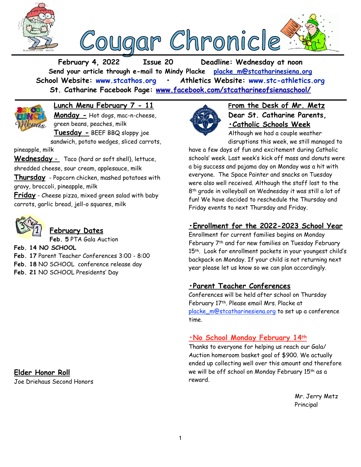



**February 4, 2022 Issue 20 Deadline: Wednesday at noon Send your article through e-mail to Mindy Placke [placke\\_m@stcatharinesiena.org](mailto:placke_m@stcatharinesiena.org) School Website: [www.stcathos.org](http://www.stcathos.org) • Athletics Website: [www.stc-athletics.org](http://www.stc-athletics.org) St. Catharine Facebook Page: [www.facebook.com/stcatharineofsienaschool/](https://www.facebook.com/stcatharineofsienaschool/)**



**Lunch Menu February 7 - 11 Monday -** Hot dogs, mac-n-cheese,

green beans, peaches, milk **Tuesday -** BEEF BBQ sloppy joe sandwich, potato wedges, sliced carrots,

pineapple, milk

**Wednesday** - Taco (hard or soft shell), lettuce, shredded cheese, sour cream, applesauce, milk

**Thursday** - Popcorn chicken, mashed potatoes with gravy, broccoli, pineapple, milk

**Friday** - Cheese pizza, mixed green salad with baby carrots, garlic bread, jell-o squares, milk



# **February Dates**

**Feb. 5** PTA Gala Auction

**Feb. 14 NO SCHOOL**

- **Feb. 17** Parent Teacher Conferences 3:00 8:00
- **Feb. 18** NO SCHOOL conference release day
- **Feb. 21** NO SCHOOL Presidents' Day

# **Elder Honor Roll**

Joe Driehaus Second Honors



**From the Desk of Mr. Metz Dear St. Catharine Parents, •Catholic Schools Week** Although we had a couple weather

disruptions this week, we still managed to

have a few days of fun and excitement during Catholic schools' week. Last week's kick off mass and donuts were a big success and pajama day on Monday was a hit with everyone. The Space Painter and snacks on Tuesday were also well received. Although the staff lost to the 8th grade in volleyball on Wednesday it was still a lot of fun! We have decided to reschedule the Thursday and Friday events to next Thursday and Friday.

# **•Enrollment for the 2022-2023 School Year**

Enrollment for current families begins on Monday February 7th and for new families on Tuesday February 15<sup>th</sup>. Look for enrollment packets in your youngest child's backpack on Monday. If your child is not returning next year please let us know so we can plan accordingly.

### **•Parent Teacher Conferences**

Conferences will be held after school on Thursday February 17th. Please email Mrs. Placke at placke m@stcatharinesiena.org to set up a conference time.

### **•No School Monday February 14th**

Thanks to everyone for helping us reach our Gala/ Auction homeroom basket goal of \$900. We actually ended up collecting well over this amount and therefore we will be off school on Monday February 15th as a reward.

> Mr. Jerry Metz Principal